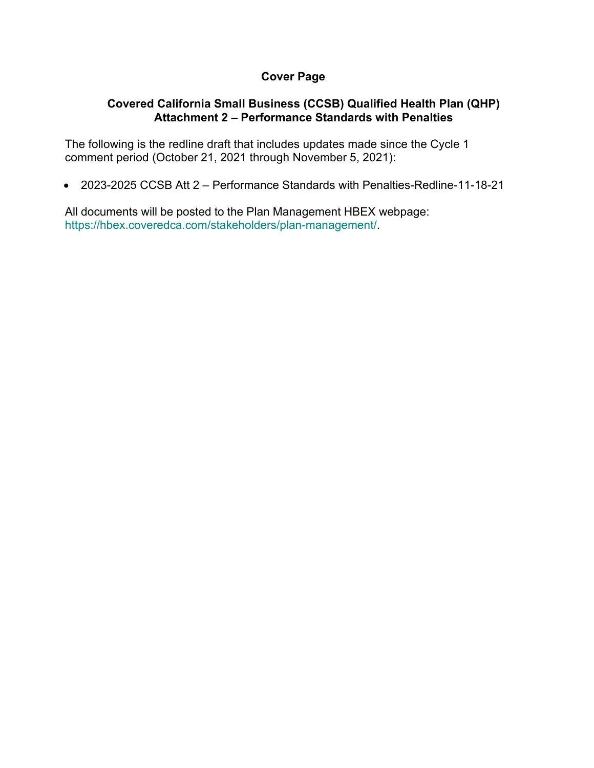# **Cover Page**

# **Covered California Small Business (CCSB) Qualified Health Plan (QHP) Attachment 2 – Performance Standards with Penalties**

The following is the redline draft that includes updates made since the Cycle 1 comment period (October 21, 2021 through November 5, 2021):

• 2023-2025 CCSB Att 2 – Performance Standards with Penalties-Redline-11-18-21

All documents will be posted to the Plan Management HBEX webpage: https://hbex.coveredca.com/stakeholders/plan-management/.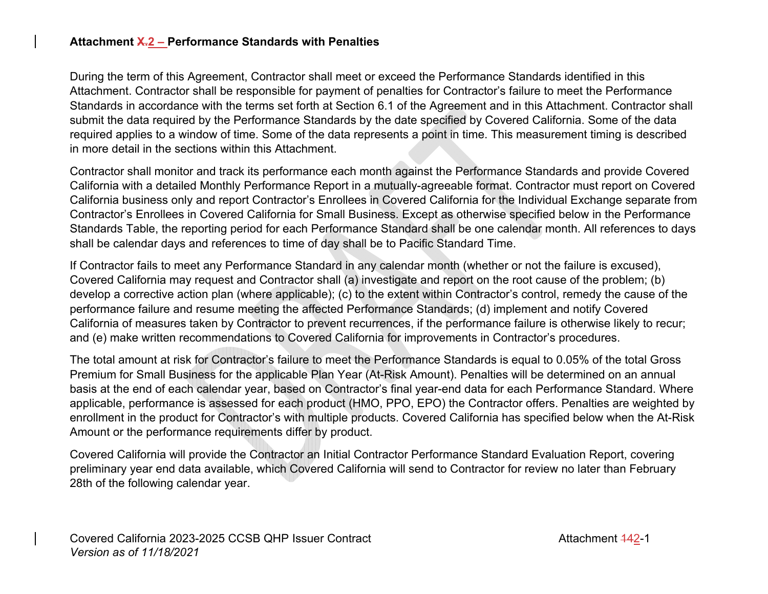### **Attachment X.2 – Performance Standards with Penalties**

During the term of this Agreement, Contractor shall meet or exceed the Performance Standards identified in this Attachment. Contractor shall be responsible for payment of penalties for Contractor's failure to meet the Performance Standards in accordance with the terms set forth at Section 6.1 of the Agreement and in this Attachment. Contractor shall submit the data required by the Performance Standards by the date specified by Covered California. Some of the data required applies to a window of time. Some of the data represents a point in time. This measurement timing is described in more detail in the sections within this Attachment.

Contractor shall monitor and track its performance each month against the Performance Standards and provide Covered California with a detailed Monthly Performance Report in a mutually-agreeable format. Contractor must report on Covered California business only and report Contractor's Enrollees in Covered California for the Individual Exchange separate from Contractor's Enrollees in Covered California for Small Business. Except as otherwise specified below in the Performance Standards Table, the reporting period for each Performance Standard shall be one calendar month. All references to days shall be calendar days and references to time of day shall be to Pacific Standard Time.

If Contractor fails to meet any Performance Standard in any calendar month (whether or not the failure is excused), Covered California may request and Contractor shall (a) investigate and report on the root cause of the problem; (b) develop a corrective action plan (where applicable); (c) to the extent within Contractor's control, remedy the cause of the performance failure and resume meeting the affected Performance Standards; (d) implement and notify Covered California of measures taken by Contractor to prevent recurrences, if the performance failure is otherwise likely to recur; and (e) make written recommendations to Covered California for improvements in Contractor's procedures.

The total amount at risk for Contractor's failure to meet the Performance Standards is equal to 0.05% of the total Gross Premium for Small Business for the applicable Plan Year (At-Risk Amount). Penalties will be determined on an annual basis at the end of each calendar year, based on Contractor's final year-end data for each Performance Standard. Where applicable, performance is assessed for each product (HMO, PPO, EPO) the Contractor offers. Penalties are weighted by enrollment in the product for Contractor's with multiple products. Covered California has specified below when the At-Risk Amount or the performance requirements differ by product.

Covered California will provide the Contractor an Initial Contractor Performance Standard Evaluation Report, covering preliminary year end data available, which Covered California will send to Contractor for review no later than February 28th of the following calendar year.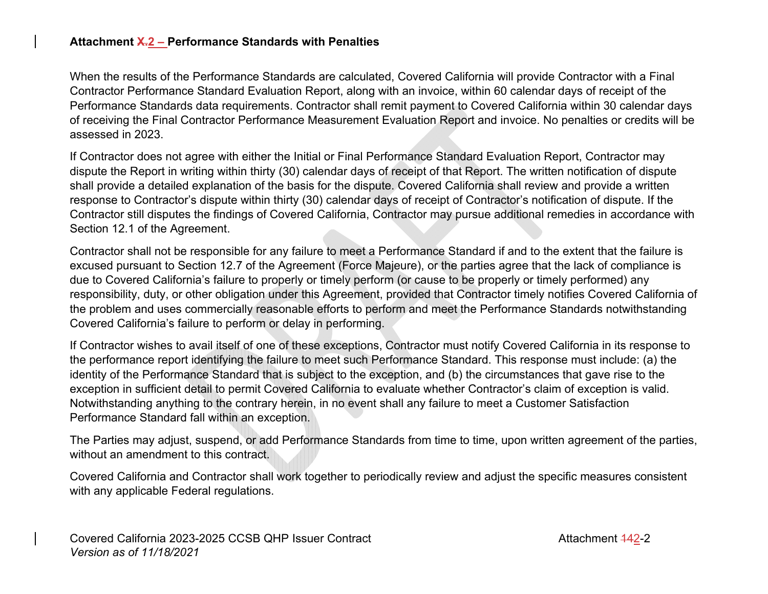#### **Attachment X.2 – Performance Standards with Penalties**

When the results of the Performance Standards are calculated, Covered California will provide Contractor with a Final Contractor Performance Standard Evaluation Report, along with an invoice, within 60 calendar days of receipt of the Performance Standards data requirements. Contractor shall remit payment to Covered California within 30 calendar days of receiving the Final Contractor Performance Measurement Evaluation Report and invoice. No penalties or credits will be assessed in 2023.

If Contractor does not agree with either the Initial or Final Performance Standard Evaluation Report, Contractor may dispute the Report in writing within thirty (30) calendar days of receipt of that Report. The written notification of dispute shall provide a detailed explanation of the basis for the dispute. Covered California shall review and provide a written response to Contractor's dispute within thirty (30) calendar days of receipt of Contractor's notification of dispute. If the Contractor still disputes the findings of Covered California, Contractor may pursue additional remedies in accordance with Section 12.1 of the Agreement.

Contractor shall not be responsible for any failure to meet a Performance Standard if and to the extent that the failure is excused pursuant to Section 12.7 of the Agreement (Force Majeure), or the parties agree that the lack of compliance is due to Covered California's failure to properly or timely perform (or cause to be properly or timely performed) any responsibility, duty, or other obligation under this Agreement, provided that Contractor timely notifies Covered California of the problem and uses commercially reasonable efforts to perform and meet the Performance Standards notwithstanding Covered California's failure to perform or delay in performing.

If Contractor wishes to avail itself of one of these exceptions, Contractor must notify Covered California in its response to the performance report identifying the failure to meet such Performance Standard. This response must include: (a) the identity of the Performance Standard that is subject to the exception, and (b) the circumstances that gave rise to the exception in sufficient detail to permit Covered California to evaluate whether Contractor's claim of exception is valid. Notwithstanding anything to the contrary herein, in no event shall any failure to meet a Customer Satisfaction Performance Standard fall within an exception.

The Parties may adjust, suspend, or add Performance Standards from time to time, upon written agreement of the parties, without an amendment to this contract.

Covered California and Contractor shall work together to periodically review and adjust the specific measures consistent with any applicable Federal regulations.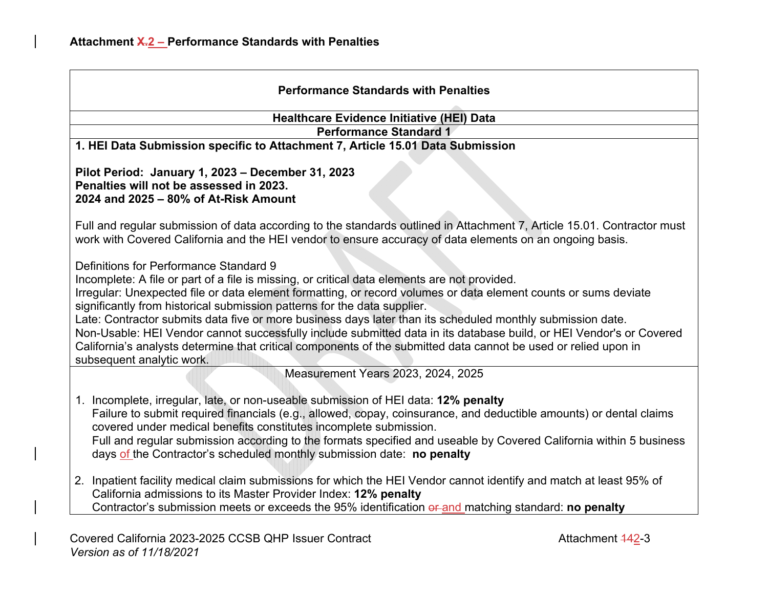| <b>Performance Standards with Penalties</b>                                                                                                                                                                                                                                                                                                                                                                                                                                                                                                                                                                                                                                                                                |  |  |  |  |
|----------------------------------------------------------------------------------------------------------------------------------------------------------------------------------------------------------------------------------------------------------------------------------------------------------------------------------------------------------------------------------------------------------------------------------------------------------------------------------------------------------------------------------------------------------------------------------------------------------------------------------------------------------------------------------------------------------------------------|--|--|--|--|
| <b>Healthcare Evidence Initiative (HEI) Data</b>                                                                                                                                                                                                                                                                                                                                                                                                                                                                                                                                                                                                                                                                           |  |  |  |  |
| <b>Performance Standard 1</b>                                                                                                                                                                                                                                                                                                                                                                                                                                                                                                                                                                                                                                                                                              |  |  |  |  |
| 1. HEI Data Submission specific to Attachment 7, Article 15.01 Data Submission                                                                                                                                                                                                                                                                                                                                                                                                                                                                                                                                                                                                                                             |  |  |  |  |
| Pilot Period: January 1, 2023 - December 31, 2023<br>Penalties will not be assessed in 2023.<br>2024 and 2025 - 80% of At-Risk Amount                                                                                                                                                                                                                                                                                                                                                                                                                                                                                                                                                                                      |  |  |  |  |
| Full and regular submission of data according to the standards outlined in Attachment 7, Article 15.01. Contractor must<br>work with Covered California and the HEI vendor to ensure accuracy of data elements on an ongoing basis.                                                                                                                                                                                                                                                                                                                                                                                                                                                                                        |  |  |  |  |
| Definitions for Performance Standard 9<br>Incomplete: A file or part of a file is missing, or critical data elements are not provided.<br>Irregular: Unexpected file or data element formatting, or record volumes or data element counts or sums deviate<br>significantly from historical submission patterns for the data supplier.<br>Late: Contractor submits data five or more business days later than its scheduled monthly submission date.<br>Non-Usable: HEI Vendor cannot successfully include submitted data in its database build, or HEI Vendor's or Covered<br>California's analysts determine that critical components of the submitted data cannot be used or relied upon in<br>subsequent analytic work. |  |  |  |  |
| Measurement Years 2023, 2024, 2025                                                                                                                                                                                                                                                                                                                                                                                                                                                                                                                                                                                                                                                                                         |  |  |  |  |
| 1. Incomplete, irregular, late, or non-useable submission of HEI data: 12% penalty<br>Failure to submit required financials (e.g., allowed, copay, coinsurance, and deductible amounts) or dental claims<br>covered under medical benefits constitutes incomplete submission.<br>Full and regular submission according to the formats specified and useable by Covered California within 5 business<br>days of the Contractor's scheduled monthly submission date: no penalty                                                                                                                                                                                                                                              |  |  |  |  |
| 2. Inpatient facility medical claim submissions for which the HEI Vendor cannot identify and match at least 95% of<br>California admissions to its Master Provider Index: 12% penalty<br>Contractor's submission meets or exceeds the 95% identification or and matching standard: no penalty                                                                                                                                                                                                                                                                                                                                                                                                                              |  |  |  |  |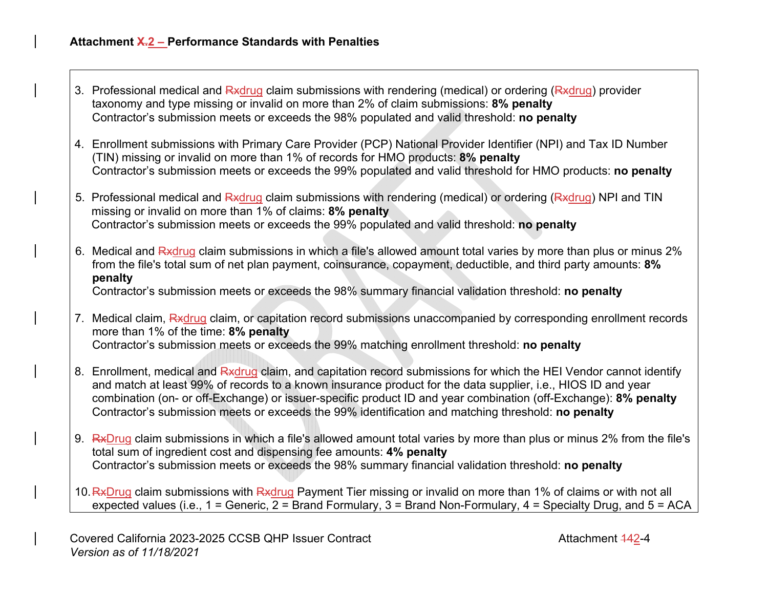| 3. Professional medical and Rxdrug claim submissions with rendering (medical) or ordering (Rxdrug) provider |  |
|-------------------------------------------------------------------------------------------------------------|--|
| taxonomy and type missing or invalid on more than 2% of claim submissions: 8% penalty                       |  |
| Contractor's submission meets or exceeds the 98% populated and valid threshold: no penalty                  |  |

- 4. Enrollment submissions with Primary Care Provider (PCP) National Provider Identifier (NPI) and Tax ID Number (TIN) missing or invalid on more than 1% of records for HMO products: **8% penalty** Contractor's submission meets or exceeds the 99% populated and valid threshold for HMO products: **no penalty**
- 5. Professional medical and Rxdrug claim submissions with rendering (medical) or ordering (Rxdrug) NPI and TIN missing or invalid on more than 1% of claims: **8% penalty** Contractor's submission meets or exceeds the 99% populated and valid threshold: **no penalty**
- 6. Medical and Rxdrug claim submissions in which a file's allowed amount total varies by more than plus or minus 2% from the file's total sum of net plan payment, coinsurance, copayment, deductible, and third party amounts: **8% penalty**

Contractor's submission meets or exceeds the 98% summary financial validation threshold: **no penalty**

- 7. Medical claim, Rxdrug claim, or capitation record submissions unaccompanied by corresponding enrollment records more than 1% of the time: **8% penalty** Contractor's submission meets or exceeds the 99% matching enrollment threshold: **no penalty**
- 8. Enrollment, medical and Rxdrug claim, and capitation record submissions for which the HEI Vendor cannot identify and match at least 99% of records to a known insurance product for the data supplier, i.e., HIOS ID and year combination (on- or off-Exchange) or issuer-specific product ID and year combination (off-Exchange): **8% penalty** Contractor's submission meets or exceeds the 99% identification and matching threshold: **no penalty**
- 9. RxDrug claim submissions in which a file's allowed amount total varies by more than plus or minus 2% from the file's total sum of ingredient cost and dispensing fee amounts: **4% penalty** Contractor's submission meets or exceeds the 98% summary financial validation threshold: **no penalty**
- 10. RxDrug claim submissions with Rxdrug Payment Tier missing or invalid on more than 1% of claims or with not all expected values (i.e., 1 = Generic, 2 = Brand Formulary, 3 = Brand Non-Formulary, 4 = Specialty Drug, and 5 = ACA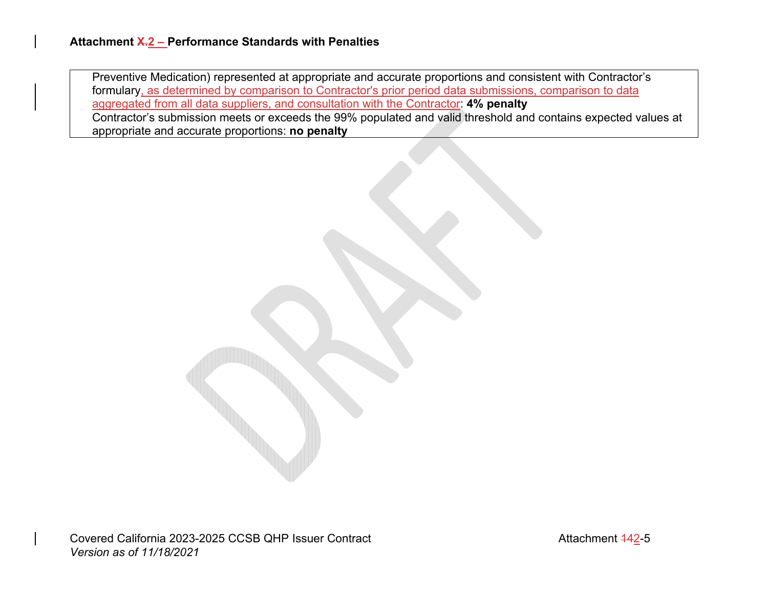Preventive Medication) represented at appropriate and accurate proportions and consistent with Contractor's formulary, as determined by comparison to Contractor's prior period data submissions, comparison to data aggregated from all data suppliers, and consultation with the Contractor: **4% penalty** Contractor's submission meets or exceeds the 99% populated and valid threshold and contains expected values at appropriate and accurate proportions: **no penalty**

Covered California 2023-2025 CCSB QHP Issuer Contract Contract Attachment 142-5 *Version as of 11/18/2021*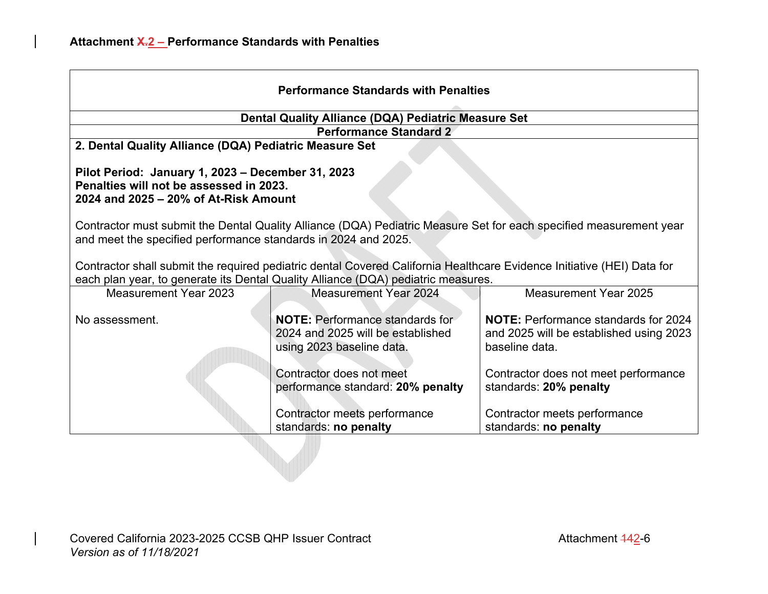| <b>Performance Standards with Penalties</b>                                                                                                                                                                 |                                                                                                          |                                                                                                          |  |  |
|-------------------------------------------------------------------------------------------------------------------------------------------------------------------------------------------------------------|----------------------------------------------------------------------------------------------------------|----------------------------------------------------------------------------------------------------------|--|--|
| Dental Quality Alliance (DQA) Pediatric Measure Set                                                                                                                                                         |                                                                                                          |                                                                                                          |  |  |
| <b>Performance Standard 2</b>                                                                                                                                                                               |                                                                                                          |                                                                                                          |  |  |
| 2. Dental Quality Alliance (DQA) Pediatric Measure Set                                                                                                                                                      |                                                                                                          |                                                                                                          |  |  |
| Pilot Period: January 1, 2023 - December 31, 2023<br>Penalties will not be assessed in 2023.<br>2024 and 2025 – 20% of At-Risk Amount                                                                       |                                                                                                          |                                                                                                          |  |  |
| Contractor must submit the Dental Quality Alliance (DQA) Pediatric Measure Set for each specified measurement year<br>and meet the specified performance standards in 2024 and 2025.                        |                                                                                                          |                                                                                                          |  |  |
| Contractor shall submit the required pediatric dental Covered California Healthcare Evidence Initiative (HEI) Data for<br>each plan year, to generate its Dental Quality Alliance (DQA) pediatric measures. |                                                                                                          |                                                                                                          |  |  |
| <b>Measurement Year 2023</b>                                                                                                                                                                                | <b>Measurement Year 2024</b>                                                                             | Measurement Year 2025                                                                                    |  |  |
| No assessment.                                                                                                                                                                                              | <b>NOTE:</b> Performance standards for<br>2024 and 2025 will be established<br>using 2023 baseline data. | <b>NOTE:</b> Performance standards for 2024<br>and 2025 will be established using 2023<br>baseline data. |  |  |
|                                                                                                                                                                                                             | Contractor does not meet<br>performance standard: 20% penalty                                            | Contractor does not meet performance<br>standards: 20% penalty                                           |  |  |
|                                                                                                                                                                                                             | Contractor meets performance<br>standards: no penalty                                                    | Contractor meets performance<br>standards: no penalty                                                    |  |  |